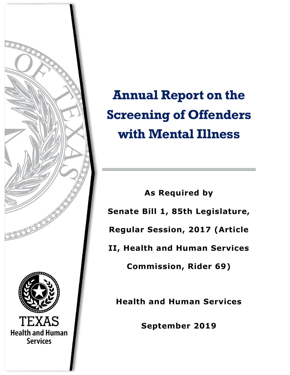

**Annual Report on the Screening of Offenders with Mental Illness** 

**As Required by Senate Bill 1, 85th Legislature, Regular Session, 2017 (Article II, Health and Human Services Commission, Rider 69)**

**Health and Human Services** 

**September 2019**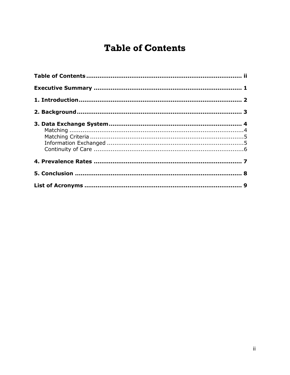# <span id="page-1-0"></span>**Table of Contents**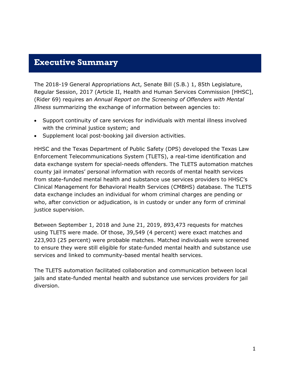### <span id="page-2-0"></span>**Executive Summary**

The 2018-19 General Appropriations Act, Senate Bill (S.B.) 1, 85th Legislature, Regular Session, 2017 (Article II, Health and Human Services Commission [HHSC], (Rider 69) requires an *Annual Report on the Screening of Offenders with Mental Illness* summarizing the exchange of information between agencies to:

- Support continuity of care services for individuals with mental illness involved with the criminal justice system; and
- Supplement local post-booking jail diversion activities.

HHSC and the Texas Department of Public Safety (DPS) developed the Texas Law Enforcement Telecommunications System (TLETS), a real-time identification and data exchange system for special-needs offenders. The TLETS automation matches county jail inmates' personal information with records of mental health services from state-funded mental health and substance use services providers to HHSC's Clinical Management for Behavioral Health Services (CMBHS) database. The TLETS data exchange includes an individual for whom criminal charges are pending or who, after conviction or adjudication, is in custody or under any form of criminal justice supervision.

Between September 1, 2018 and June 21, 2019, 893,473 requests for matches using TLETS were made. Of those, 39,549 (4 percent) were exact matches and 223,903 (25 percent) were probable matches. Matched individuals were screened to ensure they were still eligible for state-funded mental health and substance use services and linked to community-based mental health services.

The TLETS automation facilitated collaboration and communication between local jails and state-funded mental health and substance use services providers for jail diversion.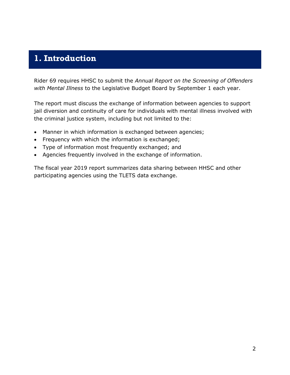### <span id="page-3-0"></span>**1. Introduction**

Rider 69 requires HHSC to submit the *Annual Report on the Screening of Offenders with Mental Illness* to the Legislative Budget Board by September 1 each year.

The report must discuss the exchange of information between agencies to support jail diversion and continuity of care for individuals with mental illness involved with the criminal justice system, including but not limited to the:

- Manner in which information is exchanged between agencies;
- Frequency with which the information is exchanged;
- Type of information most frequently exchanged; and
- Agencies frequently involved in the exchange of information.

The fiscal year 2019 report summarizes data sharing between HHSC and other participating agencies using the TLETS data exchange.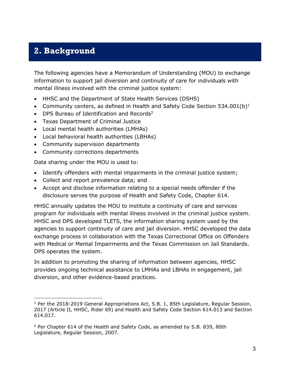## <span id="page-4-0"></span>**2. Background**

The following agencies have a Memorandum of Understanding (MOU) to exchange information to support jail diversion and continuity of care for individuals with mental illness involved with the criminal justice system:

- HHSC and the Department of State Health Services (DSHS)
- Community centers, as defined in Health and Safety Code Section 534.001(b)<sup>1</sup>
- DPS Bureau of Identification and Records<sup>2</sup>
- Texas Department of Criminal Justice
- Local mental health authorities (LMHAs)
- Local behavioral health authorities (LBHAs)
- Community supervision departments
- Community corrections departments

Data sharing under the MOU is used to:

j

- Identify offenders with mental impairments in the criminal justice system;
- Collect and report prevalence data; and
- Accept and disclose information relating to a special needs offender if the disclosure serves the purpose of Health and Safety Code, Chapter 614.

HHSC annually updates the MOU to institute a continuity of care and services program for individuals with mental illness involved in the criminal justice system. HHSC and DPS developed TLETS, the information sharing system used by the agencies to support continuity of care and jail diversion. HHSC developed the data exchange process in collaboration with the Texas Correctional Office on Offenders with Medical or Mental Impairments and the Texas Commission on Jail Standards. DPS operates the system.

In addition to promoting the sharing of information between agencies, HHSC provides ongoing technical assistance to LMHAs and LBHAs in engagement, jail diversion, and other evidence-based practices.

<sup>&</sup>lt;sup>1</sup> Per the 2018-2019 General Appropriations Act, S.B. 1, 85th Legislature, Regular Session, 2017 (Article II, HHSC, Rider 69) and Health and Safety Code Section 614.013 and Section 614.017.

<sup>2</sup> Per Chapter 614 of the Health and Safety Code, as amended by S.B. 839, 80th Legislature, Regular Session, 2007.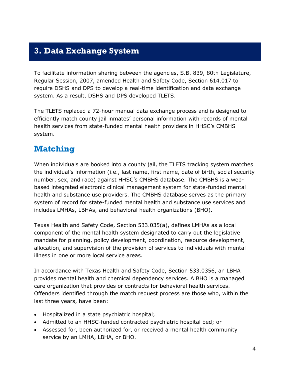## <span id="page-5-0"></span>**3. Data Exchange System**

To facilitate information sharing between the agencies, S.B. 839, 80th Legislature, Regular Session, 2007, amended Health and Safety Code, Section 614.017 to require DSHS and DPS to develop a real-time identification and data exchange system. As a result, DSHS and DPS developed TLETS.

The TLETS replaced a 72-hour manual data exchange process and is designed to efficiently match county jail inmates' personal information with records of mental health services from state-funded mental health providers in HHSC's CMBHS system.

## <span id="page-5-1"></span>**Matching**

When individuals are booked into a county jail, the TLETS tracking system matches the individual's information (i.e., last name, first name, date of birth, social security number, sex, and race) against HHSC's CMBHS database. The CMBHS is a webbased integrated electronic clinical management system for state-funded mental health and substance use providers. The CMBHS database serves as the primary system of record for state-funded mental health and substance use services and includes LMHAs, LBHAs, and behavioral health organizations (BHO).

Texas Health and Safety Code, Section 533.035(a), defines LMHAs as a local component of the mental health system designated to carry out the legislative mandate for planning, policy development, coordination, resource development, allocation, and supervision of the provision of services to individuals with mental illness in one or more local service areas.

In accordance with Texas Health and Safety Code, Section 533.0356, an LBHA provides mental health and chemical dependency services. A BHO is a managed care organization that provides or contracts for behavioral health services. Offenders identified through the match request process are those who, within the last three years, have been:

- Hospitalized in a state psychiatric hospital;
- Admitted to an HHSC-funded contracted psychiatric hospital bed; or
- Assessed for, been authorized for, or received a mental health community service by an LMHA, LBHA, or BHO.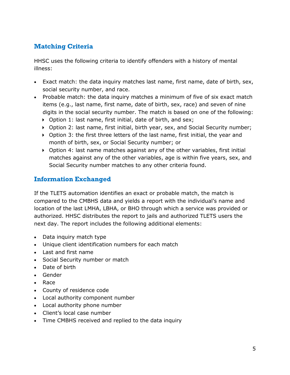### <span id="page-6-0"></span>**Matching Criteria**

HHSC uses the following criteria to identify offenders with a history of mental illness:

- Exact match: the data inquiry matches last name, first name, date of birth, sex, social security number, and race.
- Probable match: the data inquiry matches a minimum of five of six exact match items (e.g., last name, first name, date of birth, sex, race) and seven of nine digits in the social security number. The match is based on one of the following:
	- Option 1: last name, first initial, date of birth, and sex;
	- Option 2: last name, first initial, birth year, sex, and Social Security number;
	- Option 3: the first three letters of the last name, first initial, the year and month of birth, sex, or Social Security number; or
	- Option 4: last name matches against any of the other variables, first initial matches against any of the other variables, age is within five years, sex, and Social Security number matches to any other criteria found.

#### <span id="page-6-1"></span>**Information Exchanged**

If the TLETS automation identifies an exact or probable match, the match is compared to the CMBHS data and yields a report with the individual's name and location of the last LMHA, LBHA, or BHO through which a service was provided or authorized. HHSC distributes the report to jails and authorized TLETS users the next day. The report includes the following additional elements:

- Data inquiry match type
- Unique client identification numbers for each match
- Last and first name
- Social Security number or match
- Date of birth
- Gender
- Race
- County of residence code
- Local authority component number
- Local authority phone number
- Client's local case number
- Time CMBHS received and replied to the data inquiry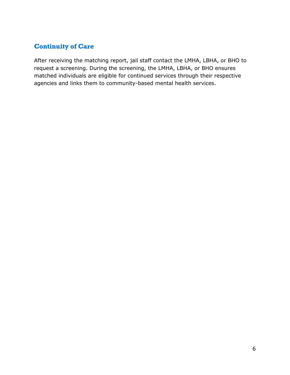#### <span id="page-7-0"></span>**Continuity of Care**

After receiving the matching report, jail staff contact the LMHA, LBHA, or BHO to request a screening. During the screening, the LMHA, LBHA, or BHO ensures matched individuals are eligible for continued services through their respective agencies and links them to community-based mental health services.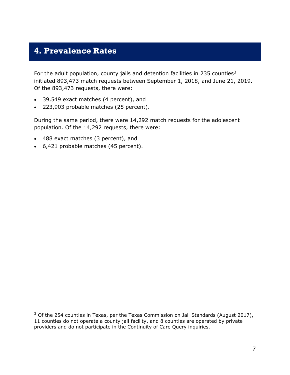## <span id="page-8-0"></span>**4. Prevalence Rates**

For the adult population, county jails and detention facilities in 235 counties<sup>3</sup> initiated 893,473 match requests between September 1, 2018, and June 21, 2019. Of the 893,473 requests, there were:

- 39,549 exact matches (4 percent), and
- 223,903 probable matches (25 percent).

During the same period, there were 14,292 match requests for the adolescent population. Of the 14,292 requests, there were:

488 exact matches (3 percent), and

j

6,421 probable matches (45 percent).

 $3$  Of the 254 counties in Texas, per the Texas Commission on Jail Standards (August 2017), 11 counties do not operate a county jail facility, and 8 counties are operated by private providers and do not participate in the Continuity of Care Query inquiries.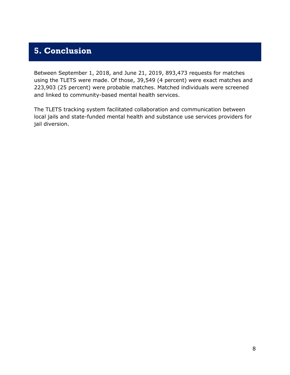## <span id="page-9-0"></span>**5. Conclusion**

Between September 1, 2018, and June 21, 2019, 893,473 requests for matches using the TLETS were made. Of those, 39,549 (4 percent) were exact matches and 223,903 (25 percent) were probable matches. Matched individuals were screened and linked to community-based mental health services.

The TLETS tracking system facilitated collaboration and communication between local jails and state-funded mental health and substance use services providers for jail diversion.